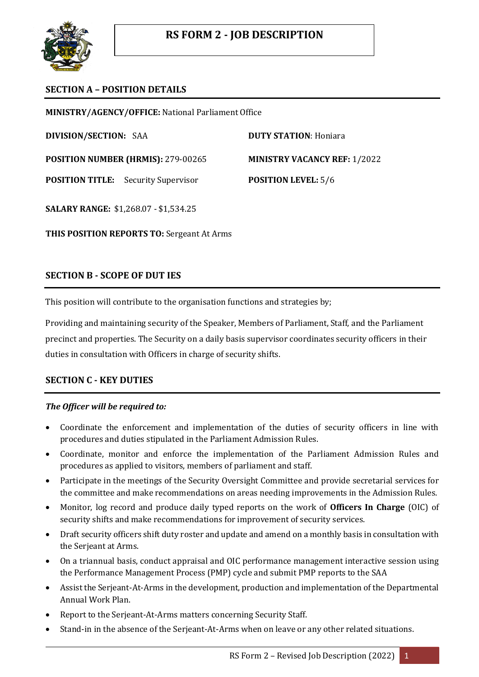

## **SECTION A – POSITION DETAILS**

**MINISTRY/AGENCY/OFFICE:** National Parliament Office

**DIVISION/SECTION:** SAA **DUTY STATION**: Honiara

**POSITION NUMBER (HRMIS):** 279-00265 **MINISTRY VACANCY REF:** 1/2022

**POSITION TITLE:** Security Supervisor **POSITION LEVEL:** 5/6

**SALARY RANGE:** \$1,268.07 - \$1,534.25

**THIS POSITION REPORTS TO:** Sergeant At Arms

## **SECTION B - SCOPE OF DUT IES**

This position will contribute to the organisation functions and strategies by;

Providing and maintaining security of the Speaker, Members of Parliament, Staff, and the Parliament precinct and properties. The Security on a daily basis supervisor coordinates security officers in their duties in consultation with Officers in charge of security shifts.

# **SECTION C - KEY DUTIES**

### *The Officer will be required to:*

- Coordinate the enforcement and implementation of the duties of security officers in line with procedures and duties stipulated in the Parliament Admission Rules.
- Coordinate, monitor and enforce the implementation of the Parliament Admission Rules and procedures as applied to visitors, members of parliament and staff.
- Participate in the meetings of the Security Oversight Committee and provide secretarial services for the committee and make recommendations on areas needing improvements in the Admission Rules.
- Monitor, log record and produce daily typed reports on the work of **Officers In Charge** (OIC) of security shifts and make recommendations for improvement of security services.
- Draft security officers shift duty roster and update and amend on a monthly basis in consultation with the Serjeant at Arms.
- On a triannual basis, conduct appraisal and OIC performance management interactive session using the Performance Management Process (PMP) cycle and submit PMP reports to the SAA
- Assist the Serjeant-At-Arms in the development, production and implementation of the Departmental Annual Work Plan.
- Report to the Serjeant-At-Arms matters concerning Security Staff.
- Stand-in in the absence of the Serjeant-At-Arms when on leave or any other related situations.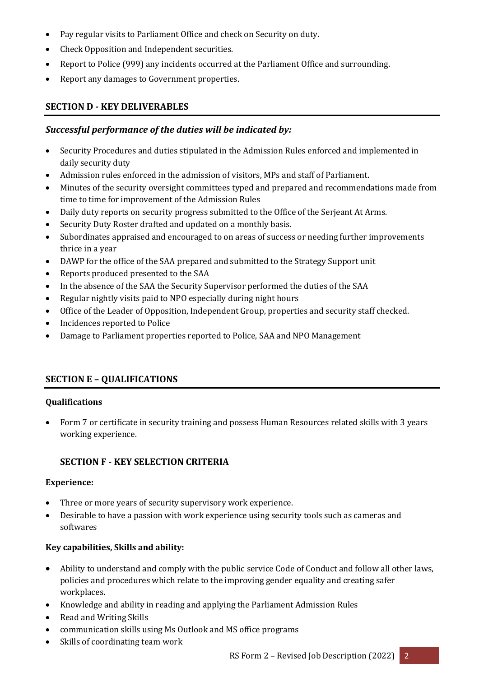- Pay regular visits to Parliament Office and check on Security on duty.
- Check Opposition and Independent securities.
- Report to Police (999) any incidents occurred at the Parliament Office and surrounding.
- Report any damages to Government properties.

## **SECTION D - KEY DELIVERABLES**

### *Successful performance of the duties will be indicated by:*

- Security Procedures and duties stipulated in the Admission Rules enforced and implemented in daily security duty
- Admission rules enforced in the admission of visitors, MPs and staff of Parliament.
- Minutes of the security oversight committees typed and prepared and recommendations made from time to time for improvement of the Admission Rules
- Daily duty reports on security progress submitted to the Office of the Serjeant At Arms.
- Security Duty Roster drafted and updated on a monthly basis.
- Subordinates appraised and encouraged to on areas of success or needing further improvements thrice in a year
- DAWP for the office of the SAA prepared and submitted to the Strategy Support unit
- Reports produced presented to the SAA
- In the absence of the SAA the Security Supervisor performed the duties of the SAA
- Regular nightly visits paid to NPO especially during night hours
- Office of the Leader of Opposition, Independent Group, properties and security staff checked.
- Incidences reported to Police
- Damage to Parliament properties reported to Police, SAA and NPO Management

### **SECTION E – QUALIFICATIONS**

#### **Qualifications**

 Form 7 or certificate in security training and possess Human Resources related skills with 3 years working experience.

### **SECTION F - KEY SELECTION CRITERIA**

#### **Experience:**

- Three or more years of security supervisory work experience.
- Desirable to have a passion with work experience using security tools such as cameras and softwares

#### **Key capabilities, Skills and ability:**

- Ability to understand and comply with the public service Code of Conduct and follow all other laws, policies and procedures which relate to the improving gender equality and creating safer workplaces.
- Knowledge and ability in reading and applying the Parliament Admission Rules
- Read and Writing Skills
- communication skills using Ms Outlook and MS office programs
- Skills of coordinating team work